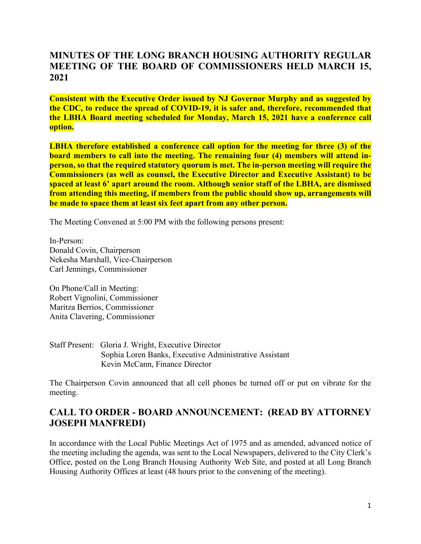## **MINUTES OF THE LONG BRANCH HOUSING AUTHORITY REGULAR MEETING OF THE BOARD OF COMMISSIONERS HELD MARCH 15, 2021**

**Consistent with the Executive Order issued by NJ Governor Murphy and as suggested by the CDC, to reduce the spread of COVID-19, it is safer and, therefore, recommended that the LBHA Board meeting scheduled for Monday, March 15, 2021 have a conference call option.**

**LBHA therefore established a conference call option for the meeting for three (3) of the board members to call into the meeting. The remaining four (4) members will attend inperson, so that the required statutory quorum is met. The in-person meeting will require the Commissioners (as well as counsel, the Executive Director and Executive Assistant) to be spaced at least 6' apart around the room. Although senior staff of the LBHA, are dismissed from attending this meeting, if members from the public should show up, arrangements will be made to space them at least six feet apart from any other person.**

The Meeting Convened at 5:00 PM with the following persons present:

In-Person: Donald Covin, Chairperson Nekesha Marshall, Vice-Chairperson Carl Jennings, Commissioner

On Phone/Call in Meeting: Robert Vignolini, Commissioner Maritza Berrios, Commissioner Anita Clavering, Commissioner

Staff Present: Gloria J. Wright, Executive Director Sophia Loren Banks, Executive Administrative Assistant Kevin McCann, Finance Director

The Chairperson Covin announced that all cell phones be turned off or put on vibrate for the meeting.

## **CALL TO ORDER - BOARD ANNOUNCEMENT: (READ BY ATTORNEY JOSEPH MANFREDI)**

In accordance with the Local Public Meetings Act of 1975 and as amended, advanced notice of the meeting including the agenda, was sent to the Local Newspapers, delivered to the City Clerk's Office, posted on the Long Branch Housing Authority Web Site, and posted at all Long Branch Housing Authority Offices at least (48 hours prior to the convening of the meeting).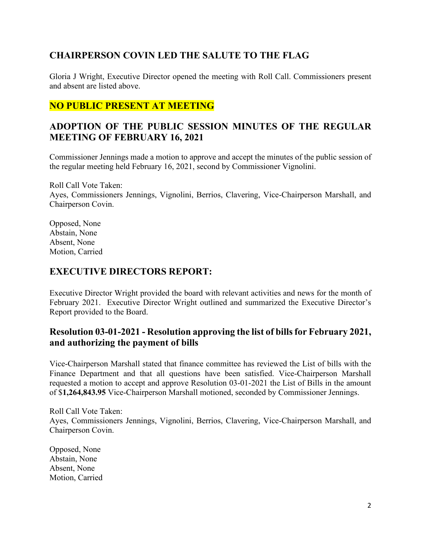# **CHAIRPERSON COVIN LED THE SALUTE TO THE FLAG**

Gloria J Wright, Executive Director opened the meeting with Roll Call. Commissioners present and absent are listed above.

# **NO PUBLIC PRESENT AT MEETING**

# **ADOPTION OF THE PUBLIC SESSION MINUTES OF THE REGULAR MEETING OF FEBRUARY 16, 2021**

Commissioner Jennings made a motion to approve and accept the minutes of the public session of the regular meeting held February 16, 2021, second by Commissioner Vignolini.

Roll Call Vote Taken: Ayes, Commissioners Jennings, Vignolini, Berrios, Clavering, Vice-Chairperson Marshall, and Chairperson Covin.

Opposed, None Abstain, None Absent, None Motion, Carried

#### **EXECUTIVE DIRECTORS REPORT:**

Executive Director Wright provided the board with relevant activities and news for the month of February 2021. Executive Director Wright outlined and summarized the Executive Director's Report provided to the Board.

## **Resolution 03-01-2021 - Resolution approving the list of bills for February 2021, and authorizing the payment of bills**

Vice-Chairperson Marshall stated that finance committee has reviewed the List of bills with the Finance Department and that all questions have been satisfied. Vice-Chairperson Marshall requested a motion to accept and approve Resolution 03-01-2021 the List of Bills in the amount of \$**1,264,843.95** Vice-Chairperson Marshall motioned, seconded by Commissioner Jennings.

Roll Call Vote Taken: Ayes, Commissioners Jennings, Vignolini, Berrios, Clavering, Vice-Chairperson Marshall, and Chairperson Covin.

Opposed, None Abstain, None Absent, None Motion, Carried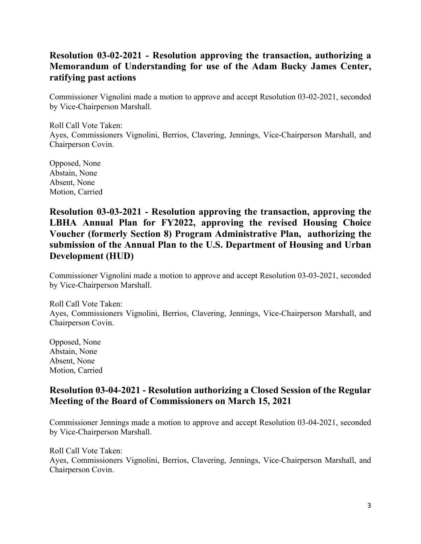# **Resolution 03-02-2021 - Resolution approving the transaction, authorizing a Memorandum of Understanding for use of the Adam Bucky James Center, ratifying past actions**

Commissioner Vignolini made a motion to approve and accept Resolution 03-02-2021, seconded by Vice-Chairperson Marshall.

Roll Call Vote Taken: Ayes, Commissioners Vignolini, Berrios, Clavering, Jennings, Vice-Chairperson Marshall, and Chairperson Covin.

Opposed, None Abstain, None Absent, None Motion, Carried

**Resolution 03-03-2021 - Resolution approving the transaction, approving the LBHA Annual Plan for FY2022, approving the revised Housing Choice Voucher (formerly Section 8) Program Administrative Plan, authorizing the submission of the Annual Plan to the U.S. Department of Housing and Urban Development (HUD)**

Commissioner Vignolini made a motion to approve and accept Resolution 03-03-2021, seconded by Vice-Chairperson Marshall.

Roll Call Vote Taken: Ayes, Commissioners Vignolini, Berrios, Clavering, Jennings, Vice-Chairperson Marshall, and Chairperson Covin.

Opposed, None Abstain, None Absent, None Motion, Carried

## **Resolution 03-04-2021 - Resolution authorizing a Closed Session of the Regular Meeting of the Board of Commissioners on March 15, 2021**

Commissioner Jennings made a motion to approve and accept Resolution 03-04-2021, seconded by Vice-Chairperson Marshall.

Roll Call Vote Taken: Ayes, Commissioners Vignolini, Berrios, Clavering, Jennings, Vice-Chairperson Marshall, and Chairperson Covin.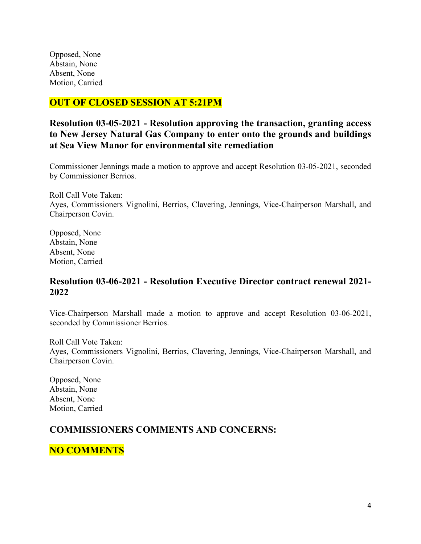Opposed, None Abstain, None Absent, None Motion, Carried

## **OUT OF CLOSED SESSION AT 5:21PM**

#### **Resolution 03-05-2021 - Resolution approving the transaction, granting access to New Jersey Natural Gas Company to enter onto the grounds and buildings at Sea View Manor for environmental site remediation**

Commissioner Jennings made a motion to approve and accept Resolution 03-05-2021, seconded by Commissioner Berrios.

Roll Call Vote Taken: Ayes, Commissioners Vignolini, Berrios, Clavering, Jennings, Vice-Chairperson Marshall, and Chairperson Covin.

Opposed, None Abstain, None Absent, None Motion, Carried

#### **Resolution 03-06-2021 - Resolution Executive Director contract renewal 2021- 2022**

Vice-Chairperson Marshall made a motion to approve and accept Resolution 03-06-2021, seconded by Commissioner Berrios.

Roll Call Vote Taken: Ayes, Commissioners Vignolini, Berrios, Clavering, Jennings, Vice-Chairperson Marshall, and Chairperson Covin.

Opposed, None Abstain, None Absent, None Motion, Carried

# **COMMISSIONERS COMMENTS AND CONCERNS:**

**NO COMMENTS**